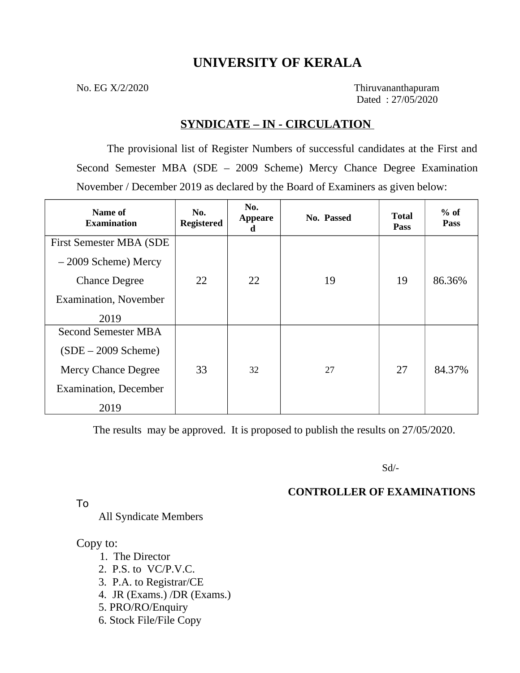### **UNIVERSITY OF KERALA**

No. EG X/2/2020 Thiruvananthapuram Dated : 27/05/2020

### **SYNDICATE – IN - CIRCULATION**

The provisional list of Register Numbers of successful candidates at the First and Second Semester MBA (SDE – 2009 Scheme) Mercy Chance Degree Examination November / December 2019 as declared by the Board of Examiners as given below:

| Name of<br><b>Examination</b>   | No.<br><b>Registered</b> | No.<br><b>Appeare</b><br>đ | <b>No. Passed</b> | <b>Total</b><br><b>Pass</b> | $%$ of<br><b>Pass</b> |
|---------------------------------|--------------------------|----------------------------|-------------------|-----------------------------|-----------------------|
| <b>First Semester MBA (SDE)</b> |                          |                            |                   |                             |                       |
| $-2009$ Scheme) Mercy           |                          |                            |                   |                             |                       |
| <b>Chance Degree</b>            | 22                       | 22                         | 19                | 19                          | 86.36%                |
| <b>Examination, November</b>    |                          |                            |                   |                             |                       |
| 2019                            |                          |                            |                   |                             |                       |
| <b>Second Semester MBA</b>      |                          |                            |                   |                             |                       |
| $(SDE - 2009$ Scheme)           |                          |                            |                   |                             |                       |
| Mercy Chance Degree             | 33                       | 32                         | 27                | 27                          | 84.37%                |
| <b>Examination</b> , December   |                          |                            |                   |                             |                       |
| 2019                            |                          |                            |                   |                             |                       |

The results may be approved. It is proposed to publish the results on 27/05/2020.

Sd/-

### **CONTROLLER OF EXAMINATIONS**

To

All Syndicate Members

### Copy to:

- 1. The Director
- 2. P.S. to VC/P.V.C.
- 3. P.A. to Registrar/CE
- 4. JR (Exams.) /DR (Exams.)
- 5. PRO/RO/Enquiry
- 6. Stock File/File Copy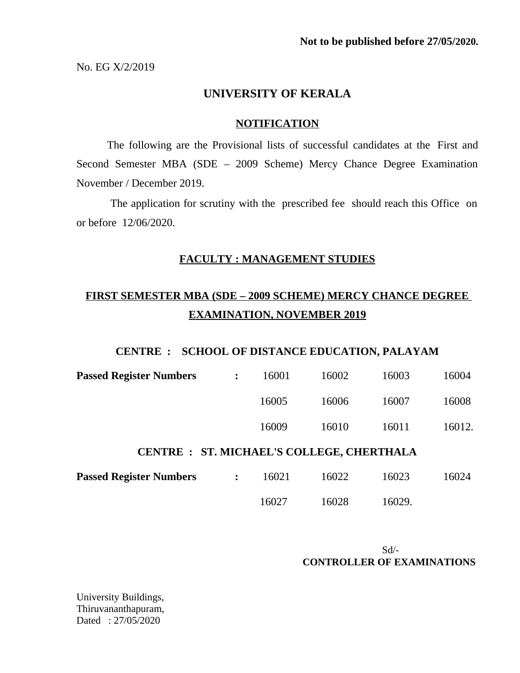No. EG X/2/2019

### **UNIVERSITY OF KERALA**

#### **NOTIFICATION**

The following are the Provisional lists of successful candidates at the First and Second Semester MBA (SDE – 2009 Scheme) Mercy Chance Degree Examination November / December 2019.

 The application for scrutiny with the prescribed fee should reach this Office on or before 12/06/2020.

### **FACULTY : MANAGEMENT STUDIES**

# **FIRST SEMESTER MBA (SDE – 2009 SCHEME) MERCY CHANCE DEGREE EXAMINATION, NOVEMBER 2019**

#### **CENTRE : SCHOOL OF DISTANCE EDUCATION, PALAYAM**

| <b>Passed Register Numbers</b>                   | $\ddot{\cdot}$ | 16001 | 16002 | 16003 | 16004  |  |
|--------------------------------------------------|----------------|-------|-------|-------|--------|--|
|                                                  |                | 16005 | 16006 | 16007 | 16008  |  |
|                                                  |                | 16009 | 16010 | 16011 | 16012. |  |
| <b>CENTRE : ST. MICHAEL'S COLLEGE, CHERTHALA</b> |                |       |       |       |        |  |
|                                                  |                |       |       |       |        |  |

| <b>Passed Register Numbers</b> | 16021 | 16022 | 16023  | 16024 |
|--------------------------------|-------|-------|--------|-------|
|                                | 16027 | 16028 | 16029. |       |

Sd/-  **CONTROLLER OF EXAMINATIONS** 

University Buildings, Thiruvananthapuram, Dated : 27/05/2020